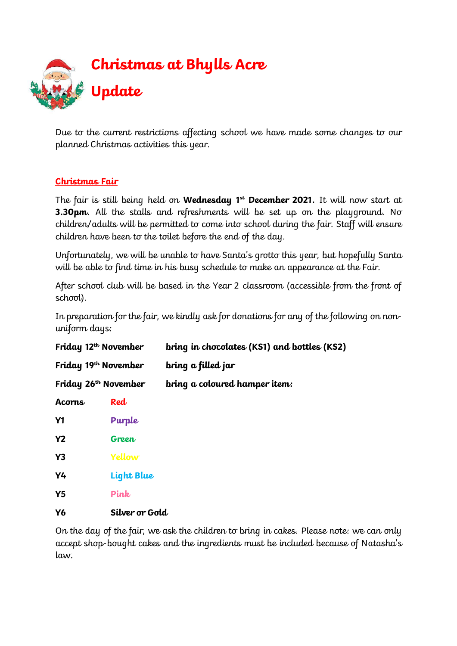

Due to the current restrictions affecting school we have made some changes to our planned Christmas activities this year.

# **Christmas Fair**

The fair is still being held on **Wednesday 1st December 2021.** It will now start at **3.30pm.** All the stalls and refreshments will be set up on the playground. No children/adults will be permitted to come into school during the fair. Staff will ensure children have been to the toilet before the end of the day.

Unfortunately, we will be unable to have Santa's grotto this year, but hopefully Santa will be able to find time in his busy schedule to make an appearance at the Fair.

After school club will be based in the Year 2 classroom (accessible from the front of school).

In preparation for the fair, we kindly ask for donations for any of the following on nonuniform days:

| Friday 12 <sup>th</sup> November |                | bring in chocolates (KS1) and bottles (KS2) |
|----------------------------------|----------------|---------------------------------------------|
| Friday 19 <sup>th</sup> November |                | bring a filled jar                          |
| Friday $26th$ November           |                | bring a coloured hamper item:               |
| Acorns                           | Red            |                                             |
| <b>Y1</b>                        | Purple         |                                             |
| <b>Y2</b>                        | Green          |                                             |
| Y <sub>3</sub>                   | Yellow         |                                             |
| Y4                               | Light Blue     |                                             |
| Y5                               | Pink           |                                             |
| <b>Y6</b>                        | Silver or Gold |                                             |

On the day of the fair, we ask the children to bring in cakes. Please note: we can only accept shop-bought cakes and the ingredients must be included because of Natasha's law.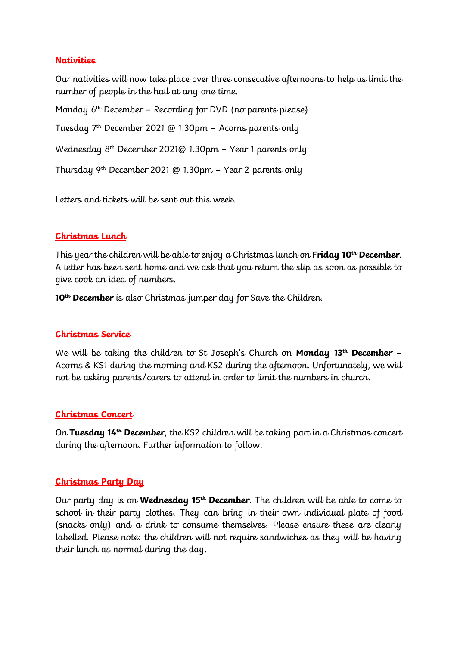### **Nativities**

Our nativities will now take place over three consecutive afternoons to help us limit the number of people in the hall at any one time.

Monday 6<sup>th</sup> December - Recording for DVD (no parents please) Tuesday  $7<sup>th</sup>$  December 2021 @ 1.30pm – Acorns parents only Wednesday 8th December 2021@ 1.30pm – Year 1 parents only Thursday 9th December 2021 @ 1.30pm – Year 2 parents only

Letters and tickets will be sent out this week.

# **Christmas Lunch**

This year the children will be able to enjoy a Christmas lunch on **Friday 10th December**. A letter has been sent home and we ask that you return the slip as soon as possible to give cook an idea of numbers.

**10th December** is also Christmas jumper day for Save the Children.

# **Christmas Service**

We will be taking the children to St Joseph's Church on **Monday 13th December** – Acorns & KS1 during the morning and KS2 during the afternoon. Unfortunately, we will not be asking parents/carers to attend in order to limit the numbers in church.

#### **Christmas Concert**

On **Tuesday 14th December**, the KS2 children will be taking part in a Christmas concert during the afternoon. Further information to follow.

#### **Christmas Party Day**

Our party day is on **Wednesday 15th December**. The children will be able to come to school in their party clothes. They can bring in their own individual plate of food (snacks only) and a drink to consume themselves. Please ensure these are clearly labelled. Please note: the children will not require sandwiches as they will be having their lunch as normal during the day.